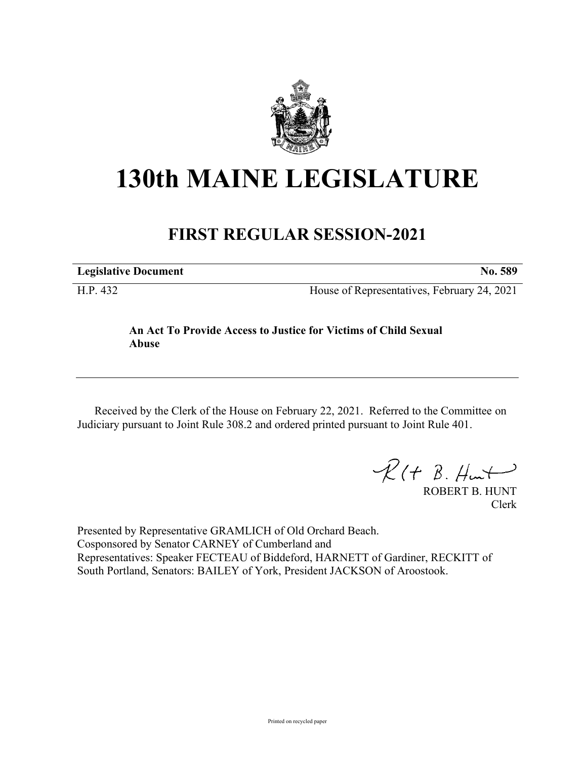

# **130th MAINE LEGISLATURE**

# **FIRST REGULAR SESSION-2021**

**Legislative Document No. 589**

H.P. 432 House of Representatives, February 24, 2021

## **An Act To Provide Access to Justice for Victims of Child Sexual Abuse**

Received by the Clerk of the House on February 22, 2021. Referred to the Committee on Judiciary pursuant to Joint Rule 308.2 and ordered printed pursuant to Joint Rule 401.

 $\mathcal{R}(t \; \mathcal{B}, \#m)$ 

ROBERT B. HUNT Clerk

Presented by Representative GRAMLICH of Old Orchard Beach. Cosponsored by Senator CARNEY of Cumberland and Representatives: Speaker FECTEAU of Biddeford, HARNETT of Gardiner, RECKITT of South Portland, Senators: BAILEY of York, President JACKSON of Aroostook.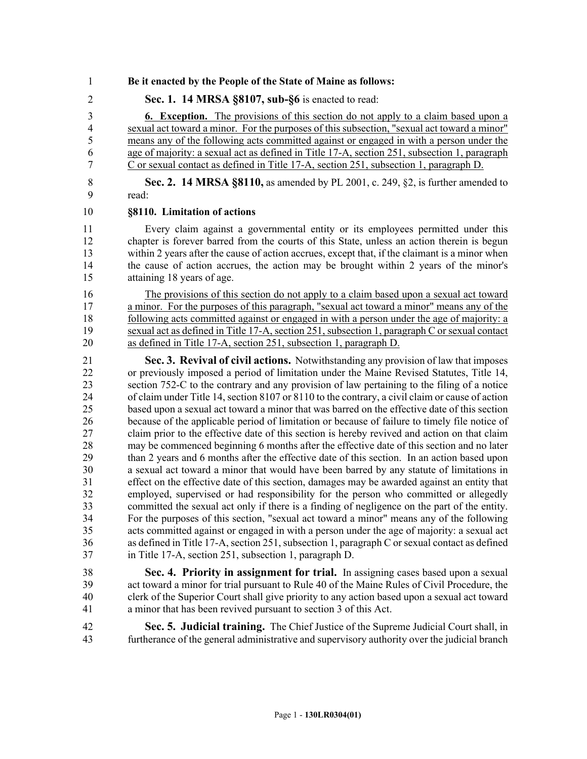### 1 **Be it enacted by the People of the State of Maine as follows:**

2 **Sec. 1. 14 MRSA §8107, sub-§6** is enacted to read:

3 **6. Exception.** The provisions of this section do not apply to a claim based upon a 4 sexual act toward a minor. For the purposes of this subsection, "sexual act toward a minor" 5 means any of the following acts committed against or engaged in with a person under the 6 age of majority: a sexual act as defined in Title 17-A, section 251, subsection 1, paragraph 7 C or sexual contact as defined in Title 17-A, section 251, subsection 1, paragraph D.

8 **Sec. 2. 14 MRSA §8110,** as amended by PL 2001, c. 249, §2, is further amended to 9 read:

#### 10 **§8110. Limitation of actions**

11 Every claim against a governmental entity or its employees permitted under this 12 chapter is forever barred from the courts of this State, unless an action therein is begun 13 within 2 years after the cause of action accrues, except that, if the claimant is a minor when 14 the cause of action accrues, the action may be brought within 2 years of the minor's 15 attaining 18 years of age.

16 The provisions of this section do not apply to a claim based upon a sexual act toward 17 a minor. For the purposes of this paragraph, "sexual act toward a minor" means any of the 18 following acts committed against or engaged in with a person under the age of majority: a 19 sexual act as defined in Title 17-A, section 251, subsection 1, paragraph C or sexual contact 20 as defined in Title 17-A, section 251, subsection 1, paragraph D.

21 **Sec. 3. Revival of civil actions.** Notwithstanding any provision of law that imposes 22 or previously imposed a period of limitation under the Maine Revised Statutes, Title 14, 23 section 752-C to the contrary and any provision of law pertaining to the filing of a notice 24 of claim under Title 14, section 8107 or 8110 to the contrary, a civil claim or cause of action 25 based upon a sexual act toward a minor that was barred on the effective date of this section 26 because of the applicable period of limitation or because of failure to timely file notice of 27 claim prior to the effective date of this section is hereby revived and action on that claim 28 may be commenced beginning 6 months after the effective date of this section and no later 29 than 2 years and 6 months after the effective date of this section. In an action based upon 30 a sexual act toward a minor that would have been barred by any statute of limitations in 31 effect on the effective date of this section, damages may be awarded against an entity that 32 employed, supervised or had responsibility for the person who committed or allegedly committed the sexual act only if there is a finding of negligence on the part of the entity. committed the sexual act only if there is a finding of negligence on the part of the entity. 34 For the purposes of this section, "sexual act toward a minor" means any of the following 35 acts committed against or engaged in with a person under the age of majority: a sexual act 36 as defined in Title 17-A, section 251, subsection 1, paragraph C or sexual contact as defined 37 in Title 17-A, section 251, subsection 1, paragraph D.

- 38 **Sec. 4. Priority in assignment for trial.** In assigning cases based upon a sexual 39 act toward a minor for trial pursuant to Rule 40 of the Maine Rules of Civil Procedure, the 40 clerk of the Superior Court shall give priority to any action based upon a sexual act toward 41 a minor that has been revived pursuant to section 3 of this Act.
- 42 **Sec. 5. Judicial training.** The Chief Justice of the Supreme Judicial Court shall, in 43 furtherance of the general administrative and supervisory authority over the judicial branch